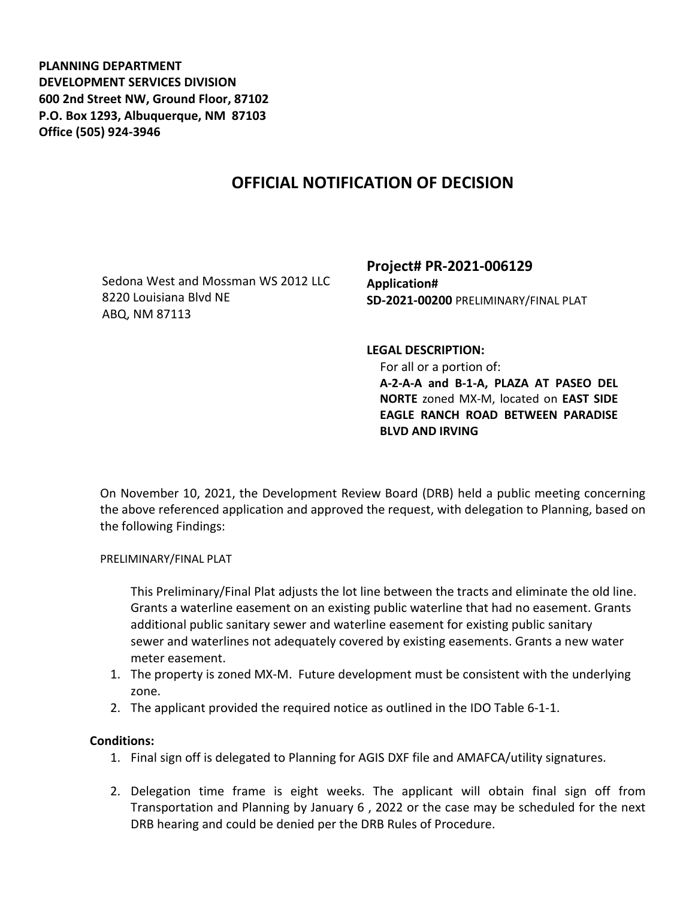**PLANNING DEPARTMENT DEVELOPMENT SERVICES DIVISION 600 2nd Street NW, Ground Floor, 87102 P.O. Box 1293, Albuquerque, NM 87103 Office (505) 924-3946** 

## **OFFICIAL NOTIFICATION OF DECISION**

Sedona West and Mossman WS 2012 LLC 8220 Louisiana Blvd NE ABQ, NM 87113

**Project# PR-2021-006129 Application# SD-2021-00200** PRELIMINARY/FINAL PLAT

**LEGAL DESCRIPTION:**

 For all or a portion of: **A-2-A-A and B-1-A, PLAZA AT PASEO DEL NORTE** zoned MX-M, located on **EAST SIDE EAGLE RANCH ROAD BETWEEN PARADISE BLVD AND IRVING** 

On November 10, 2021, the Development Review Board (DRB) held a public meeting concerning the above referenced application and approved the request, with delegation to Planning, based on the following Findings:

PRELIMINARY/FINAL PLAT

This Preliminary/Final Plat adjusts the lot line between the tracts and eliminate the old line. Grants a waterline easement on an existing public waterline that had no easement. Grants additional public sanitary sewer and waterline easement for existing public sanitary sewer and waterlines not adequately covered by existing easements. Grants a new water meter easement.

- 1. The property is zoned MX-M. Future development must be consistent with the underlying zone.
- 2. The applicant provided the required notice as outlined in the IDO Table 6-1-1.

## **Conditions:**

- 1. Final sign off is delegated to Planning for AGIS DXF file and AMAFCA/utility signatures.
- 2. Delegation time frame is eight weeks. The applicant will obtain final sign off from Transportation and Planning by January 6 , 2022 or the case may be scheduled for the next DRB hearing and could be denied per the DRB Rules of Procedure.